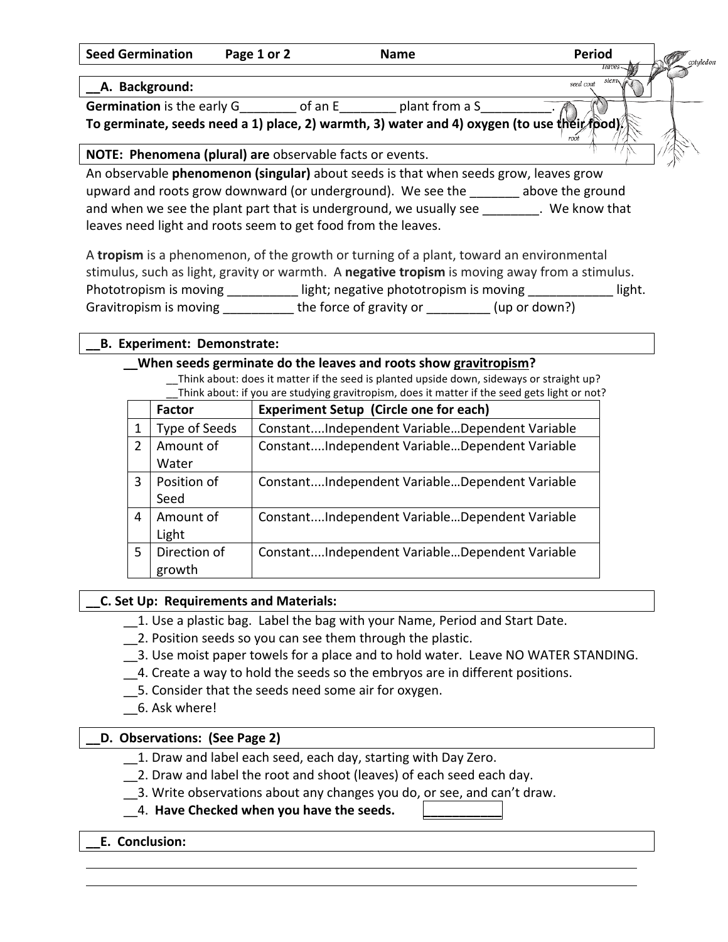**Seed Germination Page 1 or 2 Name** Period

#### **\_\_A. Background:**

**Germination** is the early G an E and trom a S

To germinate, seeds need a 1) place, 2) warmth, 3) water and 4) oxygen (to use their food)

# **NOTE: Phenomena (plural) are** observable facts or events.

An observable **phenomenon (singular)** about seeds is that when seeds grow, leaves grow upward and roots grow downward (or underground). We see the subsective the ground and when we see the plant part that is underground, we usually see \_\_\_\_\_\_\_\_. We know that leaves need light and roots seem to get food from the leaves.

A tropism is a phenomenon, of the growth or turning of a plant, toward an environmental stimulus, such as light, gravity or warmth. A **negative tropism** is moving away from a stimulus. Phototropism is moving equal bight; negative phototropism is moving equal bight. Gravitropism is moving \_\_\_\_\_\_\_\_\_\_\_\_ the force of gravity or \_\_\_\_\_\_\_\_\_(up or down?)

## **\_\_B. Experiment: Demonstrate:**

## **When seeds germinate do the leaves and roots show gravitropism?**

\_\_Think about: does it matter if the seed is planted upside down, sideways or straight up? Think about: if you are studying gravitropism, does it matter if the seed gets light or not?

|                | Factor        | <b>Experiment Setup (Circle one for each)</b>  |  |  |
|----------------|---------------|------------------------------------------------|--|--|
|                | Type of Seeds | ConstantIndependent VariableDependent Variable |  |  |
| $\overline{2}$ | Amount of     | ConstantIndependent VariableDependent Variable |  |  |
|                | Water         |                                                |  |  |
| 3              | Position of   | ConstantIndependent VariableDependent Variable |  |  |
|                | Seed          |                                                |  |  |
| 4              | Amount of     | ConstantIndependent VariableDependent Variable |  |  |
|                | Light         |                                                |  |  |
| 5              | Direction of  | ConstantIndependent VariableDependent Variable |  |  |
|                | growth        |                                                |  |  |

### **\_\_C. Set Up: Requirements and Materials:**

- 1. Use a plastic bag. Label the bag with your Name, Period and Start Date.
- 12. Position seeds so you can see them through the plastic.
- 3. Use moist paper towels for a place and to hold water. Leave NO WATER STANDING.
- 4. Create a way to hold the seeds so the embryos are in different positions.
- 5. Consider that the seeds need some air for oxygen.
- \_\_6. Ask where!

# **\_\_D. Observations: (See Page 2)**

- 1. Draw and label each seed, each day, starting with Day Zero.
	- 2. Draw and label the root and shoot (leaves) of each seed each day.
- 3. Write observations about any changes you do, or see, and can't draw.

# 4. Have Checked when you have the seeds.

# **\_\_E. Conclusion:**